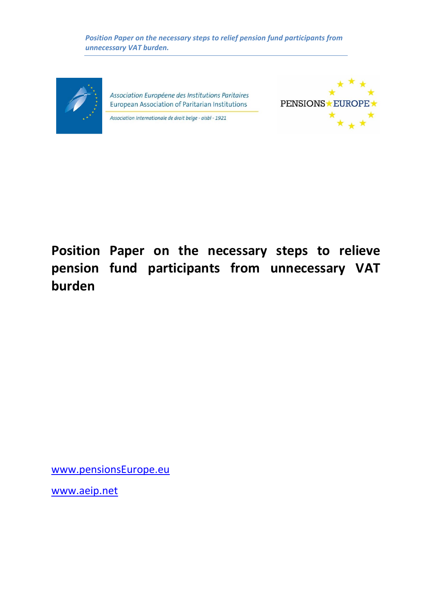*Position Paper on the necessary steps to relief pension fund participants from unnecessary VAT burden.*



Association Européene des Institutions Paritaires European Association of Paritarian Institutions

Association Internationale de droit belge - aisbl - 1921



**Position Paper on the necessary steps to relieve pension fund participants from unnecessary VAT burden**

[www.pensionsEurope.eu](http://www.pensionseurope.eu/) 

www.aeip.net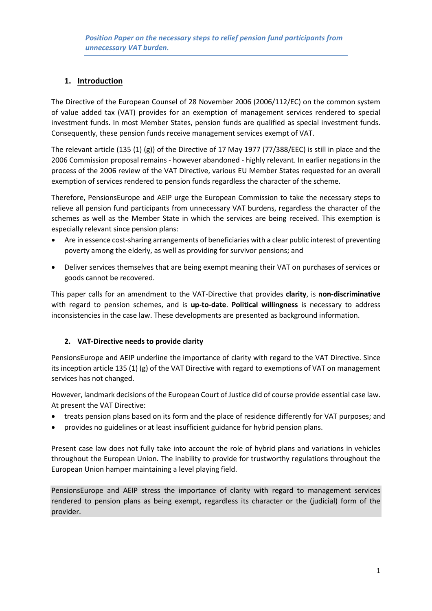# **1. Introduction**

The Directive of the European Counsel of 28 November 2006 (2006/112/EC) on the common system of value added tax (VAT) provides for an exemption of management services rendered to special investment funds. In most Member States, pension funds are qualified as special investment funds. Consequently, these pension funds receive management services exempt of VAT.

The relevant article (135 (1) (g)) of the Directive of 17 May 1977 (77/388/EEC) is still in place and the 2006 Commission proposal remains - however abandoned - highly relevant. In earlier negations in the process of the 2006 review of the VAT Directive, various EU Member States requested for an overall exemption of services rendered to pension funds regardless the character of the scheme.

Therefore, PensionsEurope and AEIP urge the European Commission to take the necessary steps to relieve all pension fund participants from unnecessary VAT burdens, regardless the character of the schemes as well as the Member State in which the services are being received. This exemption is especially relevant since pension plans:

- Are in essence cost-sharing arrangements of beneficiaries with a clear public interest of preventing poverty among the elderly, as well as providing for survivor pensions; and
- Deliver services themselves that are being exempt meaning their VAT on purchases of services or goods cannot be recovered.

This paper calls for an amendment to the VAT-Directive that provides **clarity**, is **non-discriminative** with regard to pension schemes, and is **up-to-date**. **Political willingness** is necessary to address inconsistencies in the case law. These developments are presented as background information.

## **2. VAT-Directive needs to provide clarity**

PensionsEurope and AEIP underline the importance of clarity with regard to the VAT Directive. Since its inception article 135 (1) (g) of the VAT Directive with regard to exemptions of VAT on management services has not changed.

However, landmark decisions of the European Court of Justice did of course provide essential case law. At present the VAT Directive:

- treats pension plans based on its form and the place of residence differently for VAT purposes; and
- provides no guidelines or at least insufficient guidance for hybrid pension plans.

Present case law does not fully take into account the role of hybrid plans and variations in vehicles throughout the European Union. The inability to provide for trustworthy regulations throughout the European Union hamper maintaining a level playing field.

PensionsEurope and AEIP stress the importance of clarity with regard to management services rendered to pension plans as being exempt, regardless its character or the (judicial) form of the provider.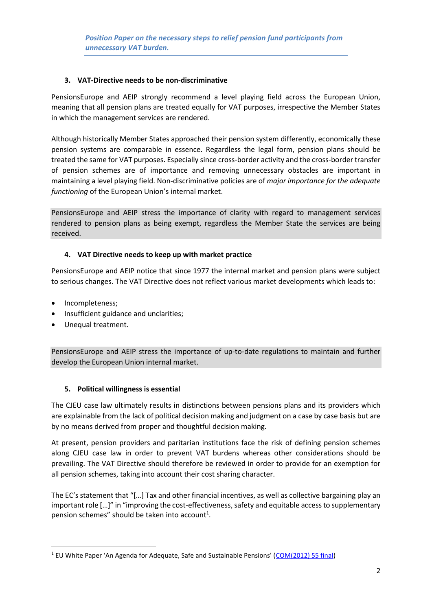## **3. VAT-Directive needs to be non-discriminative**

PensionsEurope and AEIP strongly recommend a level playing field across the European Union, meaning that all pension plans are treated equally for VAT purposes, irrespective the Member States in which the management services are rendered.

Although historically Member States approached their pension system differently, economically these pension systems are comparable in essence. Regardless the legal form, pension plans should be treated the same for VAT purposes. Especially since cross-border activity and the cross-border transfer of pension schemes are of importance and removing unnecessary obstacles are important in maintaining a level playing field. Non-discriminative policies are of *major importance for the adequate functioning* of the European Union's internal market.

PensionsEurope and AEIP stress the importance of clarity with regard to management services rendered to pension plans as being exempt, regardless the Member State the services are being received.

## **4. VAT Directive needs to keep up with market practice**

PensionsEurope and AEIP notice that since 1977 the internal market and pension plans were subject to serious changes. The VAT Directive does not reflect various market developments which leads to:

• Incompleteness;

**.** 

- Insufficient guidance and unclarities;
- Unequal treatment.

PensionsEurope and AEIP stress the importance of up-to-date regulations to maintain and further develop the European Union internal market.

## **5. Political willingness is essential**

The CJEU case law ultimately results in distinctions between pensions plans and its providers which are explainable from the lack of political decision making and judgment on a case by case basis but are by no means derived from proper and thoughtful decision making.

At present, pension providers and paritarian institutions face the risk of defining pension schemes along CJEU case law in order to prevent VAT burdens whereas other considerations should be prevailing. The VAT Directive should therefore be reviewed in order to provide for an exemption for all pension schemes, taking into account their cost sharing character.

The EC's statement that "[…] Tax and other financial incentives, as well as collective bargaining play an important role […]" in "improving the cost-effectiveness, safety and equitable access to supplementary pension schemes" should be taken into account<sup>1</sup>.

<sup>&</sup>lt;sup>1</sup> EU White Paper 'An Agenda for Adequate, Safe and Sustainable Pensions' ([COM\(2012\) 55 final\)](http://eur-lex.europa.eu/LexUriServ/LexUriServ.do?uri=COM:2012:0055:FIN:EN:PDF)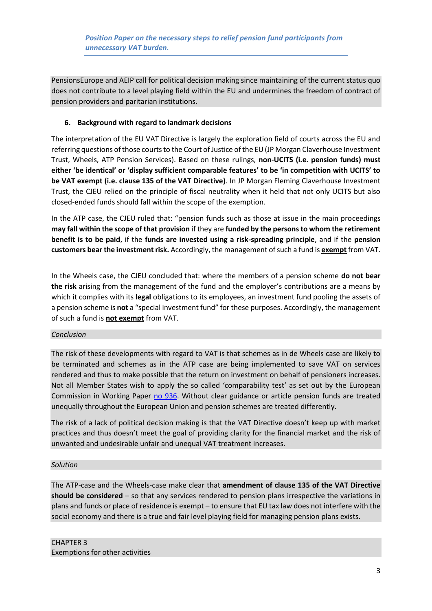PensionsEurope and AEIP call for political decision making since maintaining of the current status quo does not contribute to a level playing field within the EU and undermines the freedom of contract of pension providers and paritarian institutions.

## **6. Background with regard to landmark decisions**

The interpretation of the EU VAT Directive is largely the exploration field of courts across the EU and referring questions of those courts to the Court of Justice of the EU (JP Morgan Claverhouse Investment Trust, Wheels, ATP Pension Services). Based on these rulings, **non-UCITS (i.e. pension funds) must either 'be identical' or 'display sufficient comparable features' to be 'in competition with UCITS' to be VAT exempt (i.e. clause 135 of the VAT Directive)**. In JP Morgan Fleming Claverhouse Investment Trust, the CJEU relied on the principle of fiscal neutrality when it held that not only UCITS but also closed-ended funds should fall within the scope of the exemption.

In the ATP case, the CJEU ruled that: "pension funds such as those at issue in the main proceedings **may fall within the scope of that provision** if they are **funded by the persons to whom the retirement benefit is to be paid**, if the **funds are invested using a risk-spreading principle**, and if the **pension customers bear the investment risk.** Accordingly, the management of such a fund is **exempt** from VAT.

In the Wheels case, the CJEU concluded that: where the members of a pension scheme **do not bear the risk** arising from the management of the fund and the employer's contributions are a means by which it complies with its **legal** obligations to its employees, an investment fund pooling the assets of a pension scheme is **not** a "special investment fund" for these purposes. Accordingly, the management of such a fund is **not exempt** from VAT.

## *Conclusion*

The risk of these developments with regard to VAT is that schemes as in de Wheels case are likely to be terminated and schemes as in the ATP case are being implemented to save VAT on services rendered and thus to make possible that the return on investment on behalf of pensioners increases. Not all Member States wish to apply the so called 'comparability test' as set out by the European Commission in Working Paper [no 936.](https://circabc.europa.eu/sd/a/375aa9b9-011e-46b9-bf57-564b5188a80d/936%20-%20Management%20of%20investment%20funds.pdf) Without clear guidance or article pension funds are treated unequally throughout the European Union and pension schemes are treated differently.

The risk of a lack of political decision making is that the VAT Directive doesn't keep up with market practices and thus doesn't meet the goal of providing clarity for the financial market and the risk of unwanted and undesirable unfair and unequal VAT treatment increases.

## *Solution*

The ATP-case and the Wheels-case make clear that **amendment of clause 135 of the VAT Directive should be considered** – so that any services rendered to pension plans irrespective the variations in plans and funds or place of residence is exempt – to ensure that EU tax law does not interfere with the social economy and there is a true and fair level playing field for managing pension plans exists.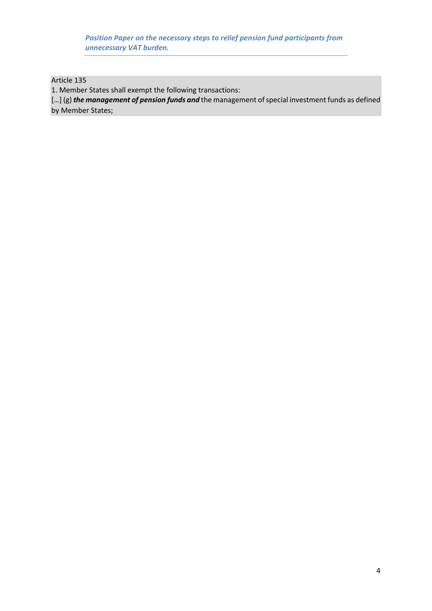*Position Paper on the necessary steps to relief pension fund participants from unnecessary VAT burden.*

Article 135

1. Member States shall exempt the following transactions:

[…] (g) *the management of pension funds and* the management of special investment funds as defined by Member States;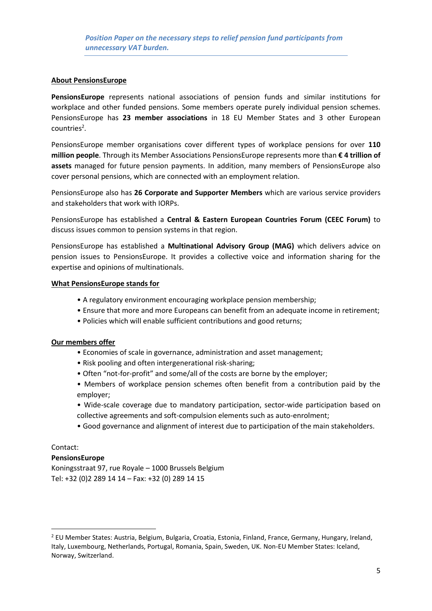#### **About PensionsEurope**

**PensionsEurope** represents national associations of pension funds and similar institutions for workplace and other funded pensions. Some members operate purely individual pension schemes. PensionsEurope has **23 member associations** in 18 EU Member States and 3 other European countries<sup>2</sup>.

PensionsEurope member organisations cover different types of workplace pensions for over **110 million people**. Through its Member Associations PensionsEurope represents more than **€ 4 trillion of assets** managed for future pension payments. In addition, many members of PensionsEurope also cover personal pensions, which are connected with an employment relation.

PensionsEurope also has **26 Corporate and Supporter Members** which are various service providers and stakeholders that work with IORPs.

PensionsEurope has established a **Central & Eastern European Countries Forum (CEEC Forum)** to discuss issues common to pension systems in that region.

PensionsEurope has established a **Multinational Advisory Group (MAG)** which delivers advice on pension issues to PensionsEurope. It provides a collective voice and information sharing for the expertise and opinions of multinationals.

#### **What PensionsEurope stands for**

- A regulatory environment encouraging workplace pension membership;
- Ensure that more and more Europeans can benefit from an adequate income in retirement;
- Policies which will enable sufficient contributions and good returns;

#### **Our members offer**

- Economies of scale in governance, administration and asset management;
- Risk pooling and often intergenerational risk-sharing;
- Often "not-for-profit" and some/all of the costs are borne by the employer;
- Members of workplace pension schemes often benefit from a contribution paid by the employer;
- Wide-scale coverage due to mandatory participation, sector-wide participation based on collective agreements and soft-compulsion elements such as auto-enrolment;
- Good governance and alignment of interest due to participation of the main stakeholders.

## Contact:

**.** 

#### **PensionsEurope**

Koningsstraat 97, rue Royale – 1000 Brussels Belgium Tel: +32 (0)2 289 14 14 – Fax: +32 (0) 289 14 15

<sup>2</sup> EU Member States: Austria, Belgium, Bulgaria, Croatia, Estonia, Finland, France, Germany, Hungary, Ireland, Italy, Luxembourg, Netherlands, Portugal, Romania, Spain, Sweden, UK. Non-EU Member States: Iceland, Norway, Switzerland.